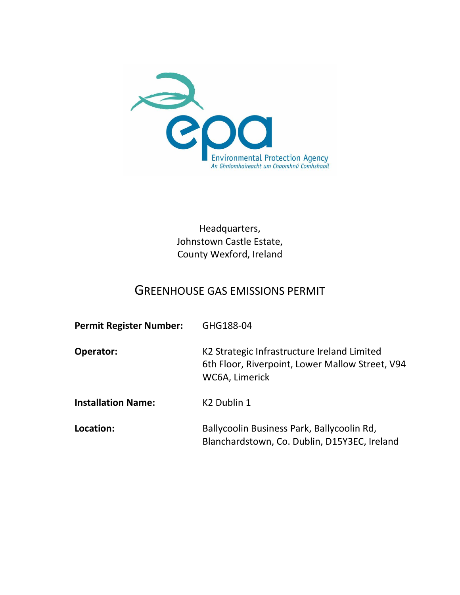

Headquarters, Johnstown Castle Estate, County Wexford, Ireland

# GREENHOUSE GAS EMISSIONS PERMIT

| <b>Permit Register Number:</b> | GHG188-04                                                                                                        |
|--------------------------------|------------------------------------------------------------------------------------------------------------------|
| Operator:                      | K2 Strategic Infrastructure Ireland Limited<br>6th Floor, Riverpoint, Lower Mallow Street, V94<br>WC6A, Limerick |
| <b>Installation Name:</b>      | K <sub>2</sub> Dublin 1                                                                                          |
| Location:                      | Ballycoolin Business Park, Ballycoolin Rd,<br>Blanchardstown, Co. Dublin, D15Y3EC, Ireland                       |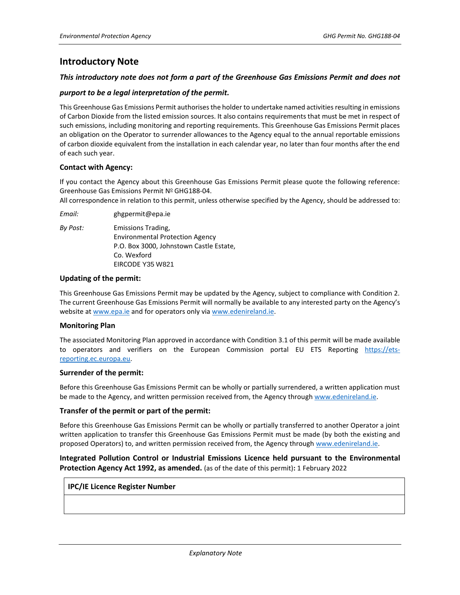## **Introductory Note**

### *This introductory note does not form a part of the Greenhouse Gas Emissions Permit and does not*

### *purport to be a legal interpretation of the permit.*

This Greenhouse Gas Emissions Permit authorises the holder to undertake named activities resulting in emissions of Carbon Dioxide from the listed emission sources. It also contains requirements that must be met in respect of such emissions, including monitoring and reporting requirements. This Greenhouse Gas Emissions Permit places an obligation on the Operator to surrender allowances to the Agency equal to the annual reportable emissions of carbon dioxide equivalent from the installation in each calendar year, no later than four months after the end of each such year.

### **Contact with Agency:**

If you contact the Agency about this Greenhouse Gas Emissions Permit please quote the following reference: Greenhouse Gas Emissions Permit Nº GHG188-04.

All correspondence in relation to this permit, unless otherwise specified by the Agency, should be addressed to:

*Email:* ghgpermit@epa.ie

*By Post:* Emissions Trading, Environmental Protection Agency P.O. Box 3000, Johnstown Castle Estate, Co. Wexford EIRCODE Y35 W821

#### **Updating of the permit:**

This Greenhouse Gas Emissions Permit may be updated by the Agency, subject to compliance with Condition 2. The current Greenhouse Gas Emissions Permit will normally be available to any interested party on the Agency's website at [www.epa.ie](http://www.epa.ie/) and for operators only via [www.edenireland.ie.](http://www.edenireland.ie/)

#### **Monitoring Plan**

The associated Monitoring Plan approved in accordance with Condition 3.1 of this permit will be made available to operators and verifiers on the European Commission portal EU ETS Reporting [https://ets](https://ets-reporting.ec.europa.eu/)[reporting.ec.europa.eu.](https://ets-reporting.ec.europa.eu/)

#### **Surrender of the permit:**

Before this Greenhouse Gas Emissions Permit can be wholly or partially surrendered, a written application must be made to the Agency, and written permission received from, the Agency throug[h www.edenireland.ie.](http://www.edenireland.ie/)

#### **Transfer of the permit or part of the permit:**

Before this Greenhouse Gas Emissions Permit can be wholly or partially transferred to another Operator a joint written application to transfer this Greenhouse Gas Emissions Permit must be made (by both the existing and proposed Operators) to, and written permission received from, the Agency throug[h www.edenireland.ie.](http://www.edenireland.ie/)

## **Integrated Pollution Control or Industrial Emissions Licence held pursuant to the Environmental Protection Agency Act 1992, as amended.** (as of the date of this permit)**:** 1 February 2022

#### **IPC/IE Licence Register Number**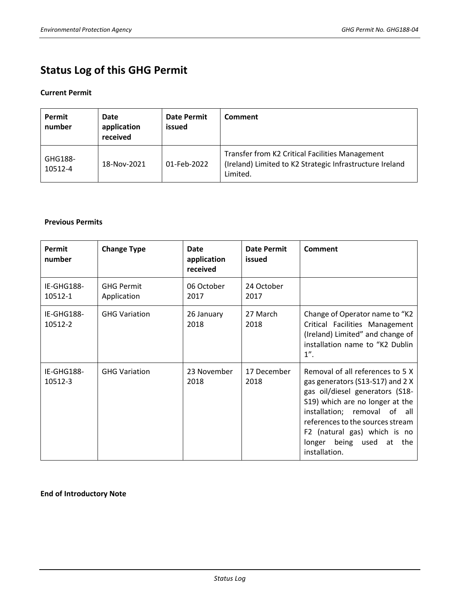# **Status Log of this GHG Permit**

## **Current Permit**

| Permit<br>number   | Date<br>application<br>received | <b>Date Permit</b><br>issued | Comment                                                                                                                 |
|--------------------|---------------------------------|------------------------------|-------------------------------------------------------------------------------------------------------------------------|
| GHG188-<br>10512-4 | 18-Nov-2021                     | 01-Feb-2022                  | Transfer from K2 Critical Facilities Management<br>(Ireland) Limited to K2 Strategic Infrastructure Ireland<br>Limited. |

## **Previous Permits**

| Permit<br>number      | <b>Change Type</b>               | Date<br>application<br>received | <b>Date Permit</b><br>issued | Comment                                                                                                                                                                                                                                                                                           |  |
|-----------------------|----------------------------------|---------------------------------|------------------------------|---------------------------------------------------------------------------------------------------------------------------------------------------------------------------------------------------------------------------------------------------------------------------------------------------|--|
| IE-GHG188-<br>10512-1 | <b>GHG Permit</b><br>Application | 06 October<br>2017              | 24 October<br>2017           |                                                                                                                                                                                                                                                                                                   |  |
| IE-GHG188-<br>10512-2 | <b>GHG Variation</b>             | 26 January<br>2018              | 27 March<br>2018             | Change of Operator name to "K2<br>Critical Facilities Management<br>(Ireland) Limited" and change of<br>installation name to "K2 Dublin<br>$1$ ".                                                                                                                                                 |  |
| IE-GHG188-<br>10512-3 | <b>GHG Variation</b>             | 23 November<br>2018             | 17 December<br>2018          | Removal of all references to 5 X<br>gas generators (S13-S17) and 2 X<br>gas oil/diesel generators (S18-<br>S19) which are no longer at the<br>installation; removal of all<br>references to the sources stream<br>F2 (natural gas) which is no<br>longer being used<br>at<br>the<br>installation. |  |

## **End of Introductory Note**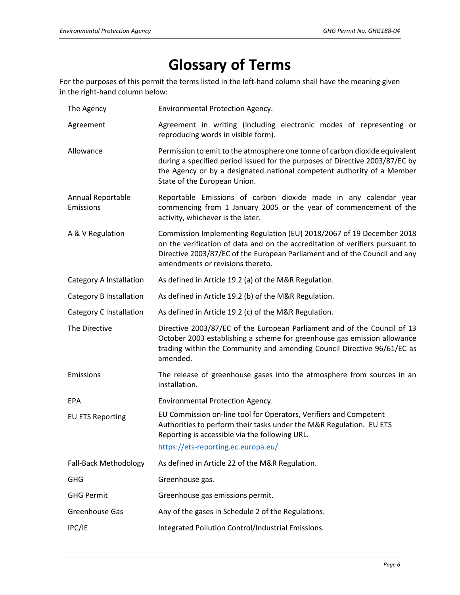# **Glossary of Terms**

For the purposes of this permit the terms listed in the left-hand column shall have the meaning given in the right-hand column below:

| The Agency                     | Environmental Protection Agency.                                                                                                                                                                                                                                         |  |  |
|--------------------------------|--------------------------------------------------------------------------------------------------------------------------------------------------------------------------------------------------------------------------------------------------------------------------|--|--|
| Agreement                      | Agreement in writing (including electronic modes of representing or<br>reproducing words in visible form).                                                                                                                                                               |  |  |
| Allowance                      | Permission to emit to the atmosphere one tonne of carbon dioxide equivalent<br>during a specified period issued for the purposes of Directive 2003/87/EC by<br>the Agency or by a designated national competent authority of a Member<br>State of the European Union.    |  |  |
| Annual Reportable<br>Emissions | Reportable Emissions of carbon dioxide made in any calendar year<br>commencing from 1 January 2005 or the year of commencement of the<br>activity, whichever is the later.                                                                                               |  |  |
| A & V Regulation               | Commission Implementing Regulation (EU) 2018/2067 of 19 December 2018<br>on the verification of data and on the accreditation of verifiers pursuant to<br>Directive 2003/87/EC of the European Parliament and of the Council and any<br>amendments or revisions thereto. |  |  |
| Category A Installation        | As defined in Article 19.2 (a) of the M&R Regulation.                                                                                                                                                                                                                    |  |  |
| Category B Installation        | As defined in Article 19.2 (b) of the M&R Regulation.                                                                                                                                                                                                                    |  |  |
| Category C Installation        | As defined in Article 19.2 (c) of the M&R Regulation.                                                                                                                                                                                                                    |  |  |
| The Directive                  | Directive 2003/87/EC of the European Parliament and of the Council of 13<br>October 2003 establishing a scheme for greenhouse gas emission allowance<br>trading within the Community and amending Council Directive 96/61/EC as<br>amended.                              |  |  |
| Emissions                      | The release of greenhouse gases into the atmosphere from sources in an<br>installation.                                                                                                                                                                                  |  |  |
| <b>EPA</b>                     | <b>Environmental Protection Agency.</b>                                                                                                                                                                                                                                  |  |  |
| <b>EU ETS Reporting</b>        | EU Commission on-line tool for Operators, Verifiers and Competent<br>Authorities to perform their tasks under the M&R Regulation. EU ETS<br>Reporting is accessible via the following URL.                                                                               |  |  |
|                                | https://ets-reporting.ec.europa.eu/                                                                                                                                                                                                                                      |  |  |
| Fall-Back Methodology          | As defined in Article 22 of the M&R Regulation.                                                                                                                                                                                                                          |  |  |
| <b>GHG</b>                     | Greenhouse gas.                                                                                                                                                                                                                                                          |  |  |
| <b>GHG Permit</b>              | Greenhouse gas emissions permit.                                                                                                                                                                                                                                         |  |  |
| Greenhouse Gas                 | Any of the gases in Schedule 2 of the Regulations.                                                                                                                                                                                                                       |  |  |
| IPC/IE                         |                                                                                                                                                                                                                                                                          |  |  |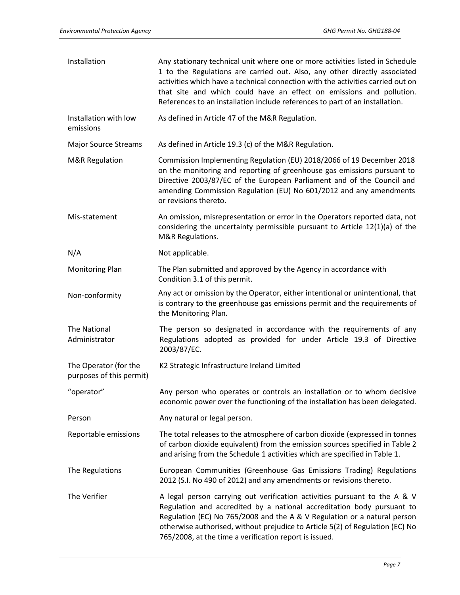| Installation                                      | Any stationary technical unit where one or more activities listed in Schedule<br>1 to the Regulations are carried out. Also, any other directly associated<br>activities which have a technical connection with the activities carried out on<br>that site and which could have an effect on emissions and pollution.<br>References to an installation include references to part of an installation. |
|---------------------------------------------------|-------------------------------------------------------------------------------------------------------------------------------------------------------------------------------------------------------------------------------------------------------------------------------------------------------------------------------------------------------------------------------------------------------|
| Installation with low<br>emissions                | As defined in Article 47 of the M&R Regulation.                                                                                                                                                                                                                                                                                                                                                       |
| <b>Major Source Streams</b>                       | As defined in Article 19.3 (c) of the M&R Regulation.                                                                                                                                                                                                                                                                                                                                                 |
| <b>M&amp;R Regulation</b>                         | Commission Implementing Regulation (EU) 2018/2066 of 19 December 2018<br>on the monitoring and reporting of greenhouse gas emissions pursuant to<br>Directive 2003/87/EC of the European Parliament and of the Council and<br>amending Commission Regulation (EU) No 601/2012 and any amendments<br>or revisions thereto.                                                                             |
| Mis-statement                                     | An omission, misrepresentation or error in the Operators reported data, not<br>considering the uncertainty permissible pursuant to Article 12(1)(a) of the<br>M&R Regulations.                                                                                                                                                                                                                        |
| N/A                                               | Not applicable.                                                                                                                                                                                                                                                                                                                                                                                       |
| <b>Monitoring Plan</b>                            | The Plan submitted and approved by the Agency in accordance with<br>Condition 3.1 of this permit.                                                                                                                                                                                                                                                                                                     |
| Non-conformity                                    | Any act or omission by the Operator, either intentional or unintentional, that<br>is contrary to the greenhouse gas emissions permit and the requirements of<br>the Monitoring Plan.                                                                                                                                                                                                                  |
| The National<br>Administrator                     | The person so designated in accordance with the requirements of any<br>Regulations adopted as provided for under Article 19.3 of Directive<br>2003/87/EC.                                                                                                                                                                                                                                             |
| The Operator (for the<br>purposes of this permit) | K2 Strategic Infrastructure Ireland Limited                                                                                                                                                                                                                                                                                                                                                           |
| "operator"                                        | Any person who operates or controls an installation or to whom decisive<br>economic power over the functioning of the installation has been delegated.                                                                                                                                                                                                                                                |
| Person                                            | Any natural or legal person.                                                                                                                                                                                                                                                                                                                                                                          |
| Reportable emissions                              | The total releases to the atmosphere of carbon dioxide (expressed in tonnes<br>of carbon dioxide equivalent) from the emission sources specified in Table 2<br>and arising from the Schedule 1 activities which are specified in Table 1.                                                                                                                                                             |
| The Regulations                                   | European Communities (Greenhouse Gas Emissions Trading) Regulations<br>2012 (S.I. No 490 of 2012) and any amendments or revisions thereto.                                                                                                                                                                                                                                                            |
| The Verifier                                      | A legal person carrying out verification activities pursuant to the A & V<br>Regulation and accredited by a national accreditation body pursuant to<br>Regulation (EC) No 765/2008 and the A & V Regulation or a natural person<br>otherwise authorised, without prejudice to Article 5(2) of Regulation (EC) No<br>765/2008, at the time a verification report is issued.                            |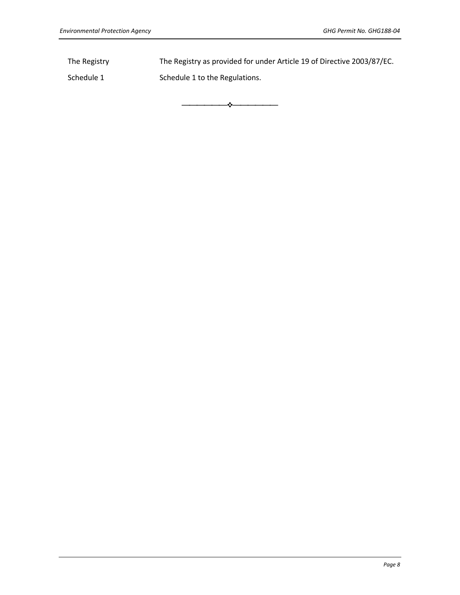Schedule 1 Schedule 1 to the Regulations.

The Registry The Registry as provided for under Article 19 of Directive 2003/87/EC.

⎯⎯⎯⎯⎯⎯❖⎯⎯⎯⎯⎯⎯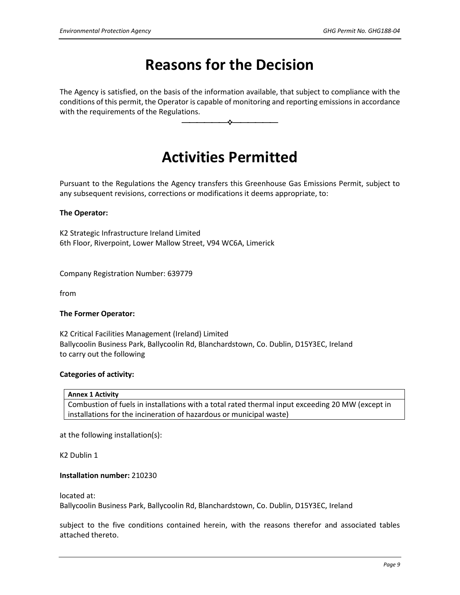# **Reasons for the Decision**

The Agency is satisfied, on the basis of the information available, that subject to compliance with the conditions of this permit, the Operator is capable of monitoring and reporting emissions in accordance with the requirements of the Regulations.

⎯⎯⎯⎯⎯⎯❖⎯⎯⎯⎯⎯⎯

# **Activities Permitted**

Pursuant to the Regulations the Agency transfers this Greenhouse Gas Emissions Permit, subject to any subsequent revisions, corrections or modifications it deems appropriate, to:

## **The Operator:**

K2 Strategic Infrastructure Ireland Limited 6th Floor, Riverpoint, Lower Mallow Street, V94 WC6A, Limerick

Company Registration Number: 639779

from

### **The Former Operator:**

K2 Critical Facilities Management (Ireland) Limited Ballycoolin Business Park, Ballycoolin Rd, Blanchardstown, Co. Dublin, D15Y3EC, Ireland to carry out the following

### **Categories of activity:**

|  |  |  | <b>Annex 1 Activity</b> |
|--|--|--|-------------------------|
|--|--|--|-------------------------|

Combustion of fuels in installations with a total rated thermal input exceeding 20 MW (except in installations for the incineration of hazardous or municipal waste)

at the following installation(s):

K2 Dublin 1

### **Installation number:** 210230

located at:

Ballycoolin Business Park, Ballycoolin Rd, Blanchardstown, Co. Dublin, D15Y3EC, Ireland

subject to the five conditions contained herein, with the reasons therefor and associated tables attached thereto.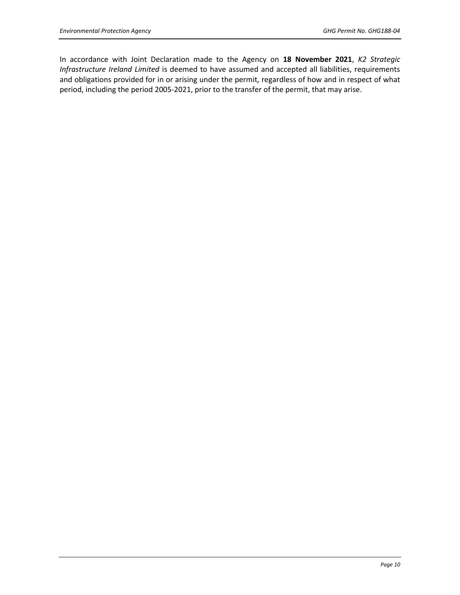In accordance with Joint Declaration made to the Agency on **18 November 2021**, *K2 Strategic Infrastructure Ireland Limited* is deemed to have assumed and accepted all liabilities, requirements and obligations provided for in or arising under the permit, regardless of how and in respect of what period, including the period 2005-2021, prior to the transfer of the permit, that may arise.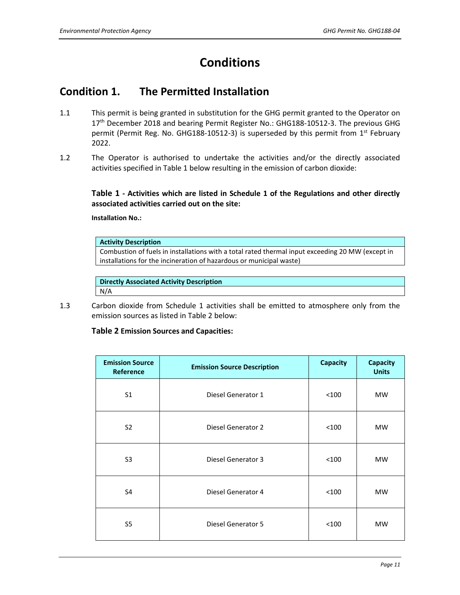# **Conditions**

## **Condition 1. The Permitted Installation**

- 1.1 This permit is being granted in substitution for the GHG permit granted to the Operator on 17<sup>th</sup> December 2018 and bearing Permit Register No.: GHG188-10512-3. The previous GHG permit (Permit Reg. No. GHG188-10512-3) is superseded by this permit from 1<sup>st</sup> February 2022.
- 1.2 The Operator is authorised to undertake the activities and/or the directly associated activities specified in Table 1 below resulting in the emission of carbon dioxide:

**Table 1 - Activities which are listed in Schedule 1 of the Regulations and other directly associated activities carried out on the site:**

**Installation No.:** 

### **Activity Description**

Combustion of fuels in installations with a total rated thermal input exceeding 20 MW (except in installations for the incineration of hazardous or municipal waste)

**Directly Associated Activity Description** N/A

1.3 Carbon dioxide from Schedule 1 activities shall be emitted to atmosphere only from the emission sources as listed in Table 2 below:

## **Table 2 Emission Sources and Capacities:**

| <b>Emission Source</b><br>Reference | <b>Emission Source Description</b> | <b>Capacity</b> | Capacity<br><b>Units</b> |
|-------------------------------------|------------------------------------|-----------------|--------------------------|
| S <sub>1</sub>                      | Diesel Generator 1                 | < 100           | <b>MW</b>                |
| S <sub>2</sub>                      | Diesel Generator 2                 | < 100           | <b>MW</b>                |
| S <sub>3</sub>                      | Diesel Generator 3                 | < 100           | <b>MW</b>                |
| S4                                  | Diesel Generator 4                 | < 100           | <b>MW</b>                |
| S5                                  | <b>Diesel Generator 5</b>          | < 100           | MW                       |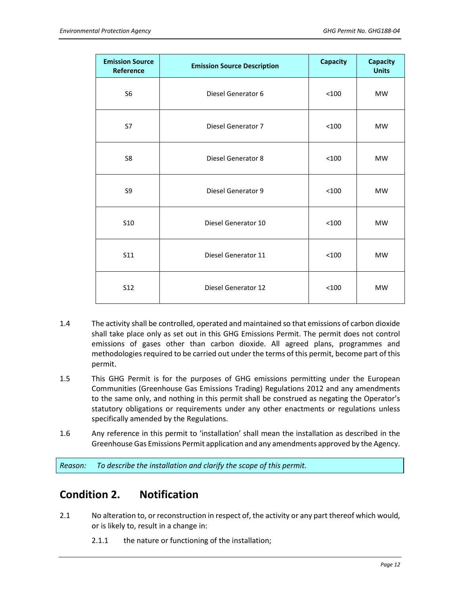| <b>Emission Source</b><br>Reference | <b>Emission Source Description</b> | <b>Capacity</b> | <b>Capacity</b><br><b>Units</b> |
|-------------------------------------|------------------------------------|-----------------|---------------------------------|
| S <sub>6</sub>                      | Diesel Generator 6                 | < 100           | <b>MW</b>                       |
| S7                                  | Diesel Generator 7                 | < 100           | <b>MW</b>                       |
| S8                                  | Diesel Generator 8                 | < 100           | <b>MW</b>                       |
| S9                                  | Diesel Generator 9                 | < 100           | <b>MW</b>                       |
| S <sub>10</sub>                     | Diesel Generator 10                | < 100           | <b>MW</b>                       |
| S11                                 | Diesel Generator 11                | < 100           | <b>MW</b>                       |
| <b>S12</b>                          | Diesel Generator 12                | < 100           | <b>MW</b>                       |

- 1.4 The activity shall be controlled, operated and maintained so that emissions of carbon dioxide shall take place only as set out in this GHG Emissions Permit. The permit does not control emissions of gases other than carbon dioxide. All agreed plans, programmes and methodologies required to be carried out under the terms of this permit, become part of this permit.
- 1.5 This GHG Permit is for the purposes of GHG emissions permitting under the European Communities (Greenhouse Gas Emissions Trading) Regulations 2012 and any amendments to the same only, and nothing in this permit shall be construed as negating the Operator's statutory obligations or requirements under any other enactments or regulations unless specifically amended by the Regulations.
- 1.6 Any reference in this permit to 'installation' shall mean the installation as described in the Greenhouse Gas Emissions Permit application and any amendments approved by the Agency.

*Reason: To describe the installation and clarify the scope of this permit.*

## **Condition 2. Notification**

- 2.1 No alteration to, or reconstruction in respect of, the activity or any part thereof which would, or is likely to, result in a change in:
	- 2.1.1 the nature or functioning of the installation;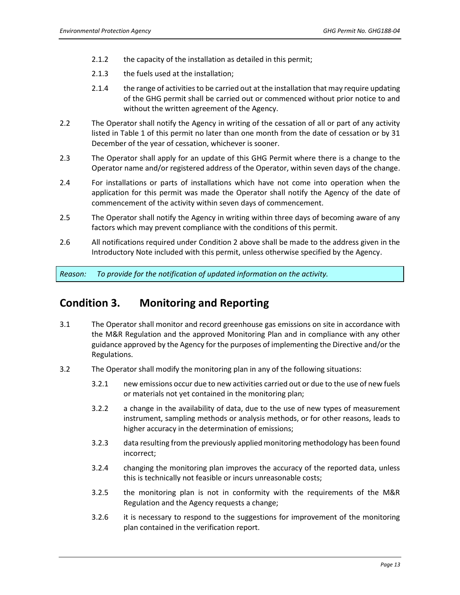- 2.1.2 the capacity of the installation as detailed in this permit;
- 2.1.3 the fuels used at the installation;
- 2.1.4 the range of activities to be carried out at the installation that may require updating of the GHG permit shall be carried out or commenced without prior notice to and without the written agreement of the Agency.
- 2.2 The Operator shall notify the Agency in writing of the cessation of all or part of any activity listed in Table 1 of this permit no later than one month from the date of cessation or by 31 December of the year of cessation, whichever is sooner.
- 2.3 The Operator shall apply for an update of this GHG Permit where there is a change to the Operator name and/or registered address of the Operator, within seven days of the change.
- 2.4 For installations or parts of installations which have not come into operation when the application for this permit was made the Operator shall notify the Agency of the date of commencement of the activity within seven days of commencement.
- 2.5 The Operator shall notify the Agency in writing within three days of becoming aware of any factors which may prevent compliance with the conditions of this permit.
- 2.6 All notifications required under Condition 2 above shall be made to the address given in the Introductory Note included with this permit, unless otherwise specified by the Agency.

*Reason: To provide for the notification of updated information on the activity.*

## **Condition 3. Monitoring and Reporting**

- 3.1 The Operator shall monitor and record greenhouse gas emissions on site in accordance with the M&R Regulation and the approved Monitoring Plan and in compliance with any other guidance approved by the Agency for the purposes of implementing the Directive and/or the Regulations.
- 3.2 The Operator shall modify the monitoring plan in any of the following situations:
	- 3.2.1 new emissions occur due to new activities carried out or due to the use of new fuels or materials not yet contained in the monitoring plan;
	- 3.2.2 a change in the availability of data, due to the use of new types of measurement instrument, sampling methods or analysis methods, or for other reasons, leads to higher accuracy in the determination of emissions;
	- 3.2.3 data resulting from the previously applied monitoring methodology has been found incorrect;
	- 3.2.4 changing the monitoring plan improves the accuracy of the reported data, unless this is technically not feasible or incurs unreasonable costs;
	- 3.2.5 the monitoring plan is not in conformity with the requirements of the M&R Regulation and the Agency requests a change;
	- 3.2.6 it is necessary to respond to the suggestions for improvement of the monitoring plan contained in the verification report.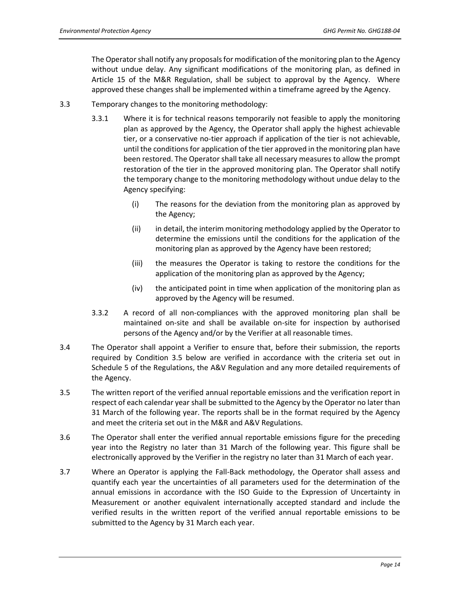The Operator shall notify any proposals for modification of the monitoring plan to the Agency without undue delay. Any significant modifications of the monitoring plan, as defined in Article 15 of the M&R Regulation, shall be subject to approval by the Agency. Where approved these changes shall be implemented within a timeframe agreed by the Agency.

- 3.3 Temporary changes to the monitoring methodology:
	- 3.3.1 Where it is for technical reasons temporarily not feasible to apply the monitoring plan as approved by the Agency, the Operator shall apply the highest achievable tier, or a conservative no-tier approach if application of the tier is not achievable, until the conditions for application of the tier approved in the monitoring plan have been restored. The Operator shall take all necessary measures to allow the prompt restoration of the tier in the approved monitoring plan. The Operator shall notify the temporary change to the monitoring methodology without undue delay to the Agency specifying:
		- (i) The reasons for the deviation from the monitoring plan as approved by the Agency;
		- (ii) in detail, the interim monitoring methodology applied by the Operator to determine the emissions until the conditions for the application of the monitoring plan as approved by the Agency have been restored;
		- (iii) the measures the Operator is taking to restore the conditions for the application of the monitoring plan as approved by the Agency;
		- (iv) the anticipated point in time when application of the monitoring plan as approved by the Agency will be resumed.
	- 3.3.2 A record of all non-compliances with the approved monitoring plan shall be maintained on-site and shall be available on-site for inspection by authorised persons of the Agency and/or by the Verifier at all reasonable times.
- 3.4 The Operator shall appoint a Verifier to ensure that, before their submission, the reports required by Condition 3.5 below are verified in accordance with the criteria set out in Schedule 5 of the Regulations, the A&V Regulation and any more detailed requirements of the Agency.
- 3.5 The written report of the verified annual reportable emissions and the verification report in respect of each calendar year shall be submitted to the Agency by the Operator no later than 31 March of the following year. The reports shall be in the format required by the Agency and meet the criteria set out in the M&R and A&V Regulations.
- 3.6 The Operator shall enter the verified annual reportable emissions figure for the preceding year into the Registry no later than 31 March of the following year. This figure shall be electronically approved by the Verifier in the registry no later than 31 March of each year.
- 3.7 Where an Operator is applying the Fall-Back methodology, the Operator shall assess and quantify each year the uncertainties of all parameters used for the determination of the annual emissions in accordance with the ISO Guide to the Expression of Uncertainty in Measurement or another equivalent internationally accepted standard and include the verified results in the written report of the verified annual reportable emissions to be submitted to the Agency by 31 March each year.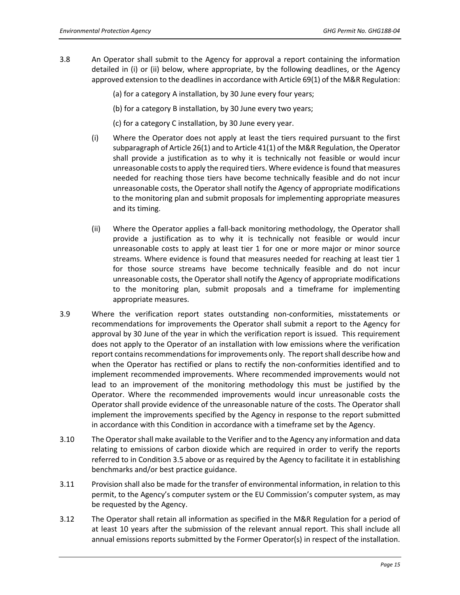- 3.8 An Operator shall submit to the Agency for approval a report containing the information detailed in (i) or (ii) below, where appropriate, by the following deadlines, or the Agency approved extension to the deadlines in accordance with Article 69(1) of the M&R Regulation:
	- (a) for a category A installation, by 30 June every four years;
	- (b) for a category B installation, by 30 June every two years;
	- (c) for a category C installation, by 30 June every year.
	- (i) Where the Operator does not apply at least the tiers required pursuant to the first subparagraph of Article 26(1) and to Article 41(1) of the M&R Regulation, the Operator shall provide a justification as to why it is technically not feasible or would incur unreasonable costs to apply the required tiers. Where evidence is found that measures needed for reaching those tiers have become technically feasible and do not incur unreasonable costs, the Operator shall notify the Agency of appropriate modifications to the monitoring plan and submit proposals for implementing appropriate measures and its timing.
	- (ii) Where the Operator applies a fall-back monitoring methodology, the Operator shall provide a justification as to why it is technically not feasible or would incur unreasonable costs to apply at least tier 1 for one or more major or minor source streams. Where evidence is found that measures needed for reaching at least tier 1 for those source streams have become technically feasible and do not incur unreasonable costs, the Operator shall notify the Agency of appropriate modifications to the monitoring plan, submit proposals and a timeframe for implementing appropriate measures.
- 3.9 Where the verification report states outstanding non-conformities, misstatements or recommendations for improvements the Operator shall submit a report to the Agency for approval by 30 June of the year in which the verification report is issued. This requirement does not apply to the Operator of an installation with low emissions where the verification report contains recommendations for improvements only. The report shall describe how and when the Operator has rectified or plans to rectify the non-conformities identified and to implement recommended improvements. Where recommended improvements would not lead to an improvement of the monitoring methodology this must be justified by the Operator. Where the recommended improvements would incur unreasonable costs the Operator shall provide evidence of the unreasonable nature of the costs. The Operator shall implement the improvements specified by the Agency in response to the report submitted in accordance with this Condition in accordance with a timeframe set by the Agency.
- 3.10 The Operator shall make available to the Verifier and to the Agency any information and data relating to emissions of carbon dioxide which are required in order to verify the reports referred to in Condition 3.5 above or as required by the Agency to facilitate it in establishing benchmarks and/or best practice guidance.
- 3.11 Provision shall also be made for the transfer of environmental information, in relation to this permit, to the Agency's computer system or the EU Commission's computer system, as may be requested by the Agency.
- 3.12 The Operator shall retain all information as specified in the M&R Regulation for a period of at least 10 years after the submission of the relevant annual report. This shall include all annual emissions reports submitted by the Former Operator(s) in respect of the installation.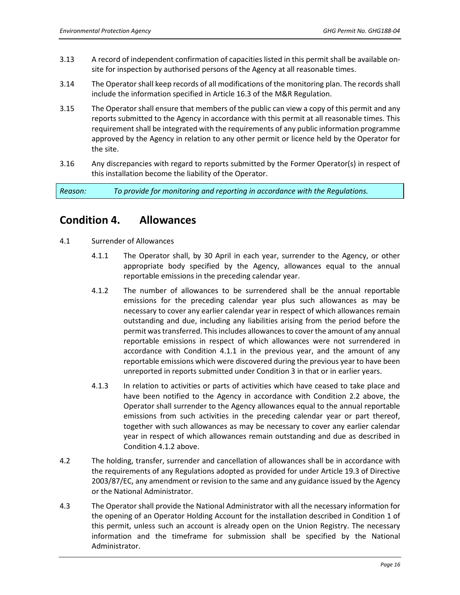- 3.13 A record of independent confirmation of capacities listed in this permit shall be available onsite for inspection by authorised persons of the Agency at all reasonable times.
- 3.14 The Operator shall keep records of all modifications of the monitoring plan. The records shall include the information specified in Article 16.3 of the M&R Regulation.
- 3.15 The Operator shall ensure that members of the public can view a copy of this permit and any reports submitted to the Agency in accordance with this permit at all reasonable times. This requirement shall be integrated with the requirements of any public information programme approved by the Agency in relation to any other permit or licence held by the Operator for the site.
- 3.16 Any discrepancies with regard to reports submitted by the Former Operator(s) in respect of this installation become the liability of the Operator.

*Reason: To provide for monitoring and reporting in accordance with the Regulations.* 

## **Condition 4. Allowances**

- 4.1 Surrender of Allowances
	- 4.1.1 The Operator shall, by 30 April in each year, surrender to the Agency, or other appropriate body specified by the Agency, allowances equal to the annual reportable emissions in the preceding calendar year.
	- 4.1.2 The number of allowances to be surrendered shall be the annual reportable emissions for the preceding calendar year plus such allowances as may be necessary to cover any earlier calendar year in respect of which allowances remain outstanding and due, including any liabilities arising from the period before the permit was transferred. This includes allowances to cover the amount of any annual reportable emissions in respect of which allowances were not surrendered in accordance with Condition 4.1.1 in the previous year, and the amount of any reportable emissions which were discovered during the previous year to have been unreported in reports submitted under Condition 3 in that or in earlier years.
	- 4.1.3 In relation to activities or parts of activities which have ceased to take place and have been notified to the Agency in accordance with Condition 2.2 above, the Operator shall surrender to the Agency allowances equal to the annual reportable emissions from such activities in the preceding calendar year or part thereof, together with such allowances as may be necessary to cover any earlier calendar year in respect of which allowances remain outstanding and due as described in Condition 4.1.2 above.
- 4.2 The holding, transfer, surrender and cancellation of allowances shall be in accordance with the requirements of any Regulations adopted as provided for under Article 19.3 of Directive 2003/87/EC, any amendment or revision to the same and any guidance issued by the Agency or the National Administrator.
- 4.3 The Operator shall provide the National Administrator with all the necessary information for the opening of an Operator Holding Account for the installation described in Condition 1 of this permit, unless such an account is already open on the Union Registry. The necessary information and the timeframe for submission shall be specified by the National Administrator.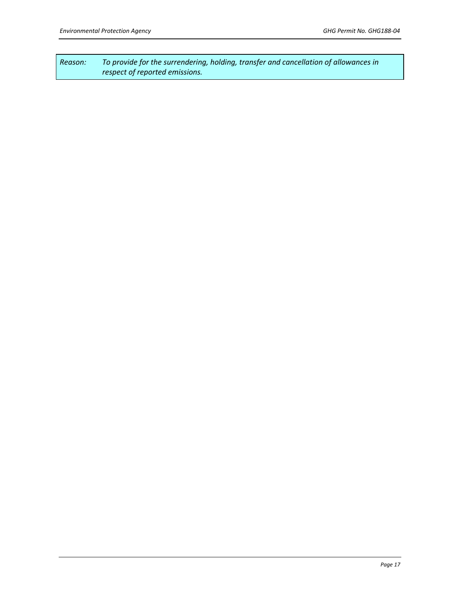*Reason: To provide for the surrendering, holding, transfer and cancellation of allowances in respect of reported emissions.*